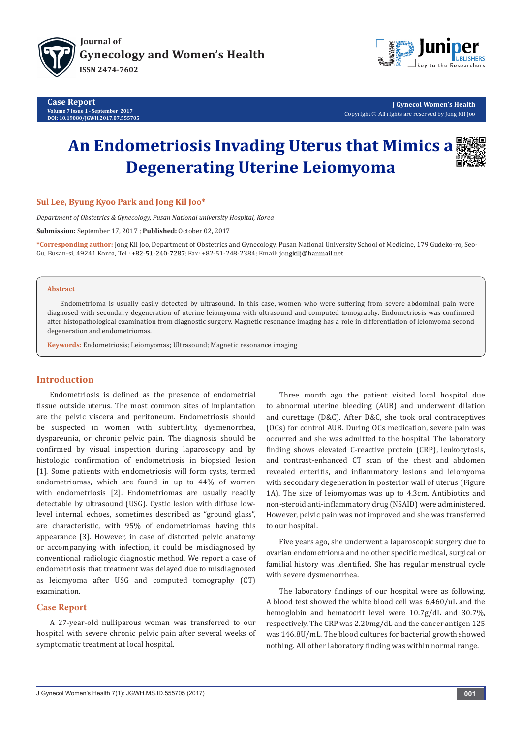

**Case Report Volume 7 Issue 1 - September 2017 DOI: [10.19080/JGWH.2017.07.555705](http://dx.doi.org/10.19080/JGWH.2017.07.555705)**



**J Gynecol Women's Health** Copyright © All rights are reserved by Jong Kil Joo

# **An Endometriosis Invading Uterus that Mimics a Degenerating Uterine Leiomyoma**



*Department of Obstetrics & Gynecology, Pusan National university Hospital, Korea*

**Submission:** September 17, 2017 ; **Published:** October 02, 2017

**\*Corresponding author:** Jong Kil Joo, Department of Obstetrics and Gynecology, Pusan National University School of Medicine, 179 Gudeko-ro, Seo-Gu, Busan-si, 49241 Korea, Tel: +82-51-240-7287; Fax: +82-51-248-2384; Email: jongkilj@hanmail.net

#### **Abstract**

Endometrioma is usually easily detected by ultrasound. In this case, women who were suffering from severe abdominal pain were diagnosed with secondary degeneration of uterine leiomyoma with ultrasound and computed tomography. Endometriosis was confirmed after histopathological examination from diagnostic surgery. Magnetic resonance imaging has a role in differentiation of leiomyoma second degeneration and endometriomas.

**Keywords:** Endometriosis; Leiomyomas; Ultrasound; Magnetic resonance imaging

## **Introduction**

Endometriosis is defined as the presence of endometrial tissue outside uterus. The most common sites of implantation are the pelvic viscera and peritoneum. Endometriosis should be suspected in women with subfertility, dysmenorrhea, dyspareunia, or chronic pelvic pain. The diagnosis should be confirmed by visual inspection during laparoscopy and by histologic confirmation of endometriosis in biopsied lesion [1]. Some patients with endometriosis will form cysts, termed endometriomas, which are found in up to 44% of women with endometriosis [2]. Endometriomas are usually readily detectable by ultrasound (USG). Cystic lesion with diffuse lowlevel internal echoes, sometimes described as "ground glass", are characteristic, with 95% of endometriomas having this appearance [3]. However, in case of distorted pelvic anatomy or accompanying with infection, it could be misdiagnosed by conventional radiologic diagnostic method. We report a case of endometriosis that treatment was delayed due to misdiagnosed as leiomyoma after USG and computed tomography (CT) examination.

## **Case Report**

A 27-year-old nulliparous woman was transferred to our hospital with severe chronic pelvic pain after several weeks of symptomatic treatment at local hospital.

Three month ago the patient visited local hospital due to abnormal uterine bleeding (AUB) and underwent dilation and curettage (D&C). After D&C, she took oral contraceptives (OCs) for control AUB. During OCs medication, severe pain was occurred and she was admitted to the hospital. The laboratory finding shows elevated C-reactive protein (CRP), leukocytosis, and contrast-enhanced CT scan of the chest and abdomen revealed enteritis, and inflammatory lesions and leiomyoma with secondary degeneration in posterior wall of uterus (Figure 1A). The size of leiomyomas was up to 4.3cm. Antibiotics and non-steroid anti-inflammatory drug (NSAID) were administered. However, pelvic pain was not improved and she was transferred to our hospital.

Five years ago, she underwent a laparoscopic surgery due to ovarian endometrioma and no other specific medical, surgical or familial history was identified. She has regular menstrual cycle with severe dysmenorrhea.

The laboratory findings of our hospital were as following. A blood test showed the white blood cell was 6,460/uL and the hemoglobin and hematocrit level were 10.7g/dL and 30.7%, respectively. The CRP was 2.20mg/dL and the cancer antigen 125 was 146.8U/mL. The blood cultures for bacterial growth showed nothing. All other laboratory finding was within normal range.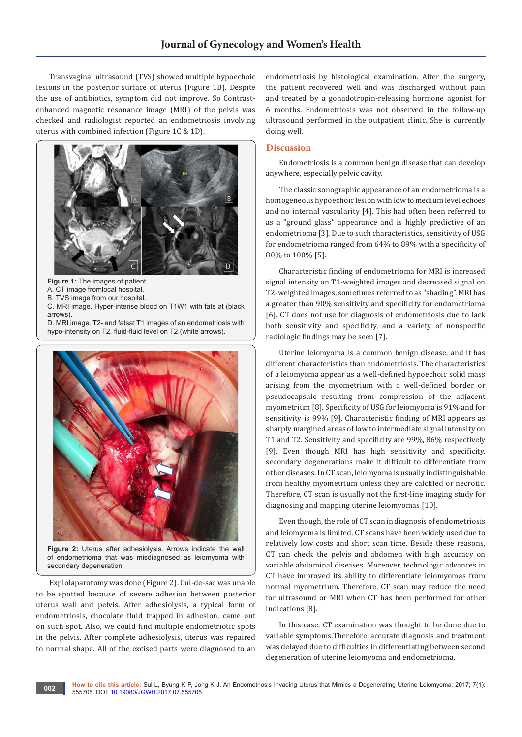Transvaginal ultrasound (TVS) showed multiple hypoechoic lesions in the posterior surface of uterus (Figure 1B). Despite the use of antibiotics, symptom did not improve. So Contrastenhanced magnetic resonance image (MRI) of the pelvis was checked and radiologist reported an endometriosis involving uterus with combined infection (Figure 1C & 1D).



**Figure 1:** The images of patient.

A. CT image fromlocal hospital.

B. TVS image from our hospital.

C. MRI image. Hyper-intense blood on T1W1 with fats at (black arrows).

D. MRI image. T2- and fatsat T1 images of an endometriosis with hypo-intensity on T2, fluid-fluid level on T2 (white arrows).



**Figure 2:** Uterus after adhesiolysis. Arrows indicate the wall of endometrioma that was misdiagnosed as leiomyoma with secondary degeneration.

Explolaparotomy was done (Figure 2). Cul-de-sac was unable to be spotted because of severe adhesion between posterior uterus wall and pelvis. After adhesiolysis, a typical form of endometriosis, chocolate fluid trapped in adhesion, came out on such spot. Also, we could find multiple endometriotic spots in the pelvis. After complete adhesiolysis, uterus was repaired to normal shape. All of the excised parts were diagnosed to an

endometriosis by histological examination. After the surgery, the patient recovered well and was discharged without pain and treated by a gonadotropin-releasing hormone agonist for 6 months. Endometriosis was not observed in the follow-up ultrasound performed in the outpatient clinic. She is currently doing well.

## **Discussion**

Endometriosis is a common benign disease that can develop anywhere, especially pelvic cavity.

The classic sonographic appearance of an endometrioma is a homogeneous hypoechoic lesion with low to medium level echoes and no internal vascularity [4]. This had often been referred to as a "ground glass" appearance and is highly predictive of an endometrioma [3]. Due to such characteristics, sensitivity of USG for endometrioma ranged from 64% to 89% with a specificity of 80% to 100% [5].

Characteristic finding of endometrioma for MRI is increased signal intensity on T1-weighted images and decreased signal on T2-weighted images, sometimes referred to as "shading". MRI has a greater than 90% sensitivity and specificity for endometrioma [6]. CT does not use for diagnosis of endometriosis due to lack both sensitivity and specificity, and a variety of nonspecific radiologic findings may be seen [7].

Uterine leiomyoma is a common benign disease, and it has different characteristics than endometriosis. The characteristics of a leiomyoma appear as a well-defined hypoechoic solid mass arising from the myometrium with a well-defined border or pseudocapsule resulting from compression of the adjacent myometrium [8]. Specificity of USG for leiomyoma is 91% and for sensitivity is 99% [9]. Characteristic finding of MRI appears as sharply margined areas of low to intermediate signal intensity on T1 and T2. Sensitivity and specificity are 99%, 86% respectively [9]. Even though MRI has high sensitivity and specificity, secondary degenerations make it difficult to differentiate from other diseases. In CT scan, leiomyoma is usually indistinguishable from healthy myometrium unless they are calcified or necrotic. Therefore, CT scan is usually not the first-line imaging study for diagnosing and mapping uterine leiomyomas [10].

Even though, the role of CT scan in diagnosis of endometriosis and leiomyoma is limited, CT scans have been widely used due to relatively low costs and short scan time. Beside these reasons, CT can check the pelvis and abdomen with high accuracy on variable abdominal diseases. Moreover, technologic advances in CT have improved its ability to differentiate leiomyomas from normal myometrium. Therefore, CT scan may reduce the need for ultrasound or MRI when CT has been performed for other indications [8].

In this case, CT examination was thought to be done due to variable symptoms.Therefore, accurate diagnosis and treatment was delayed due to difficulties in differentiating between second degeneration of uterine leiomyoma and endometrioma.